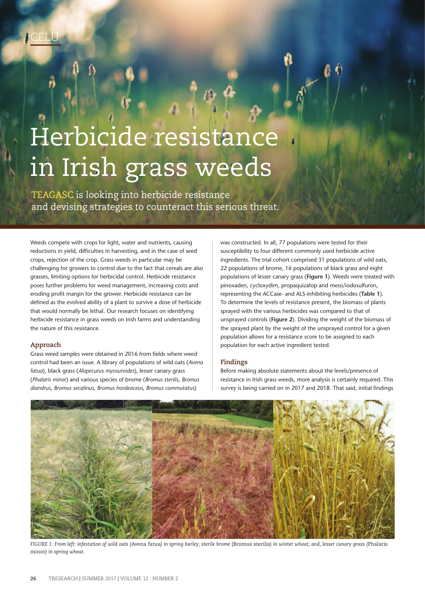# Herbicide resistance in Irish grass weeds

TEAGASC is looking into herbicide resistance and devising strategies to counteract this serious threat.

Weeds compete with crops for light, water and nutrients, causing reductions in yield, difficulties in harvesting, and in the case of seed crops, rejection of the crop. Grass weeds in particular may be challenging for growers to control due to the fact that cereals are also grasses, limiting options for herbicidal control. Herbicide resistance poses further problems for weed management, increasing costs and eroding profit margin for the grower. Herbicide resistance can be defined as the evolved ability of a plant to survive a dose of herbicide that would normally be lethal. Our research focuses on identifying herbicide resistance in grass weeds on Irish farms and understanding the nature of this resistance.

# **Approach**

Grass weed samples were obtained in 2016 from fields where weed control had been an issue. A library of populations of wild oats (*Avena fatua*), black grass (*Alopecurus myosuroides*), lesser canary grass (*Phalaris minor*) and various species of brome (*Bromus sterilis*, *Bromus diandrus*, *Bromus secalinus*, *Bromus hordeaceus*, *Bromus commutatus*)

was constructed. In all, 77 populations were tested for their susceptibility to four different commonly used herbicide active ingredients. The trial cohort comprised 31 populations of wild oats, 22 populations of brome, 16 populations of black grass and eight populations of lesser canary grass (**Figure 1**). Weeds were treated with pinoxaden, cycloxydim, propaquizafop and meso/iodosulfuron, representing the ACCase- and ALS-inhibiting herbicides (**Table 1**). To determine the levels of resistance present, the biomass of plants sprayed with the various herbicides was compared to that of unsprayed controls (**Figure 2**). Dividing the weight of the biomass of the sprayed plant by the weight of the unsprayed control for a given population allows for a resistance score to be assigned to each population for each active ingredient tested.

# **Findings**

Before making absolute statements about the levels/presence of resistance in Irish grass weeds, more analysis is certainly required. This survey is being carried on in 2017 and 2018. That said, initial findings



FIGURE 1: From left: infestation of wild oats (Avena fatua) in spring barley; sterile brome (Bromus sterilis) in winter wheat; and, lesser canary grass (Phalaris minor*) in spring wheat.*